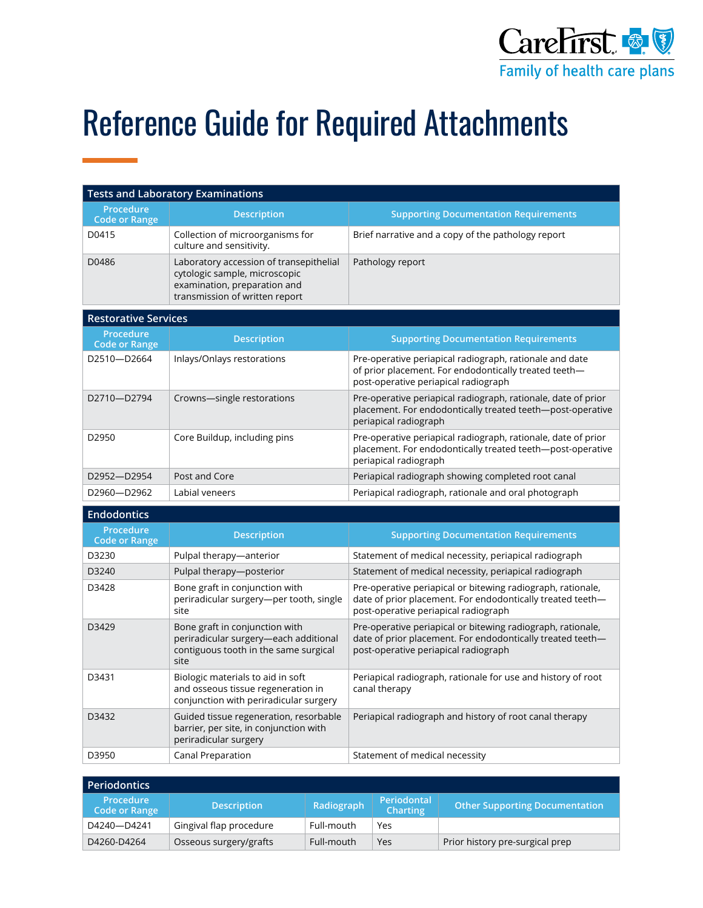

## Reference Guide for Required Attachments

| <b>Tests and Laboratory Examinations</b> |                                                                                                                                            |                                                                                                                                                                   |  |
|------------------------------------------|--------------------------------------------------------------------------------------------------------------------------------------------|-------------------------------------------------------------------------------------------------------------------------------------------------------------------|--|
| <b>Procedure</b><br><b>Code or Range</b> | <b>Description</b>                                                                                                                         | <b>Supporting Documentation Requirements</b>                                                                                                                      |  |
| D0415                                    | Collection of microorganisms for<br>culture and sensitivity.                                                                               | Brief narrative and a copy of the pathology report                                                                                                                |  |
| D0486                                    | Laboratory accession of transepithelial<br>cytologic sample, microscopic<br>examination, preparation and<br>transmission of written report | Pathology report                                                                                                                                                  |  |
| <b>Restorative Services</b>              |                                                                                                                                            |                                                                                                                                                                   |  |
| <b>Procedure</b><br><b>Code or Range</b> | <b>Description</b>                                                                                                                         | <b>Supporting Documentation Requirements</b>                                                                                                                      |  |
| D2510-D2664                              | Inlays/Onlays restorations                                                                                                                 | Pre-operative periapical radiograph, rationale and date<br>of prior placement. For endodontically treated teeth-<br>post-operative periapical radiograph          |  |
| D2710-D2794                              | Crowns-single restorations                                                                                                                 | Pre-operative periapical radiograph, rationale, date of prior<br>placement. For endodontically treated teeth-post-operative<br>periapical radiograph              |  |
| D2950                                    | Core Buildup, including pins                                                                                                               | Pre-operative periapical radiograph, rationale, date of prior<br>placement. For endodontically treated teeth-post-operative<br>periapical radiograph              |  |
| D2952-D2954                              | Post and Core                                                                                                                              | Periapical radiograph showing completed root canal                                                                                                                |  |
| D2960-D2962                              | Labial veneers                                                                                                                             | Periapical radiograph, rationale and oral photograph                                                                                                              |  |
| <b>Endodontics</b>                       |                                                                                                                                            |                                                                                                                                                                   |  |
| <b>Procedure</b><br><b>Code or Range</b> | <b>Description</b>                                                                                                                         | <b>Supporting Documentation Requirements</b>                                                                                                                      |  |
| D3230                                    | Pulpal therapy-anterior                                                                                                                    | Statement of medical necessity, periapical radiograph                                                                                                             |  |
| D3240                                    | Pulpal therapy-posterior                                                                                                                   | Statement of medical necessity, periapical radiograph                                                                                                             |  |
| D3428                                    | Bone graft in conjunction with<br>periradicular surgery-per tooth, single<br>site                                                          | Pre-operative periapical or bitewing radiograph, rationale,<br>date of prior placement. For endodontically treated teeth-<br>post-operative periapical radiograph |  |
| D3429                                    | Bone graft in conjunction with<br>periradicular surgery-each additional<br>contiguous tooth in the same surgical<br>site                   | Pre-operative periapical or bitewing radiograph, rationale,<br>date of prior placement. For endodontically treated teeth-<br>post-operative periapical radiograph |  |
| D3431                                    | Biologic materials to aid in soft<br>and osseous tissue regeneration in<br>conjunction with periradicular surgery                          | Periapical radiograph, rationale for use and history of root<br>canal therapy                                                                                     |  |
| D3432                                    | Guided tissue regeneration, resorbable<br>barrier, per site, in conjunction with<br>periradicular surgery                                  | Periapical radiograph and history of root canal therapy                                                                                                           |  |

| Periodontics                      |                         |            |                                       |                                       |
|-----------------------------------|-------------------------|------------|---------------------------------------|---------------------------------------|
| <b>Procedure</b><br>Code or Range | <b>Description</b>      | Radiograph | <b>Periodontal</b><br><b>Charting</b> | <b>Other Supporting Documentation</b> |
| D4240-D4241                       | Gingival flap procedure | Full-mouth | Yes                                   |                                       |
| D4260-D4264                       | Osseous surgery/grafts  | Full-mouth | Yes                                   | Prior history pre-surgical prep       |

D3950 Canal Preparation Statement of medical necessity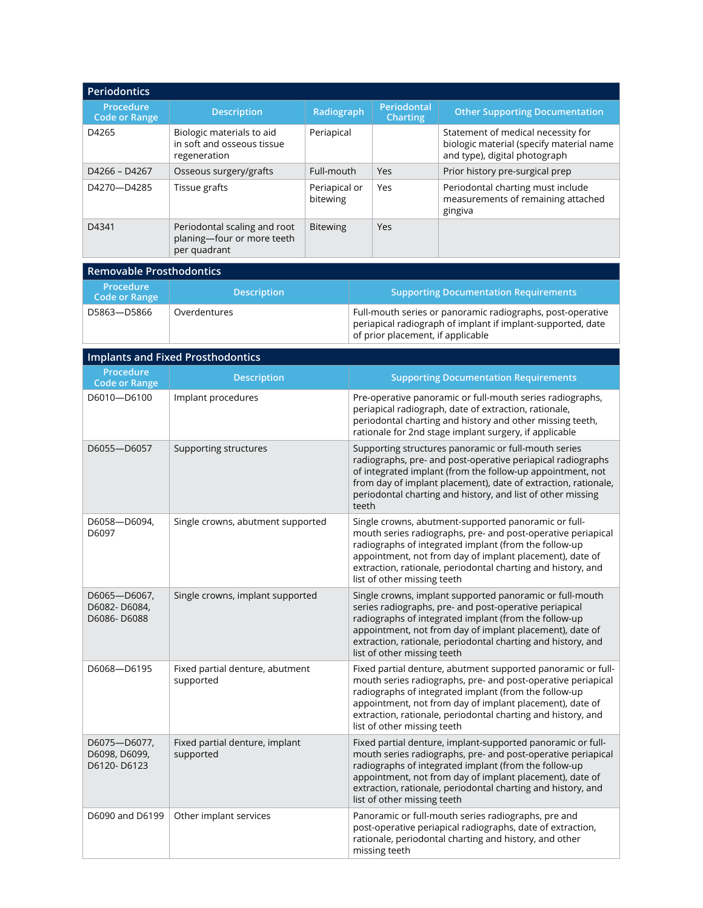| <b>Periodontics</b>               |                                                                            |                           |                                |                                                                                                                 |
|-----------------------------------|----------------------------------------------------------------------------|---------------------------|--------------------------------|-----------------------------------------------------------------------------------------------------------------|
| Procedure<br><b>Code or Range</b> | <b>Description</b>                                                         | Radiograph                | Periodontal<br><b>Charting</b> | <b>Other Supporting Documentation</b>                                                                           |
| D4265                             | Biologic materials to aid<br>in soft and osseous tissue<br>regeneration    | Periapical                |                                | Statement of medical necessity for<br>biologic material (specify material name<br>and type), digital photograph |
| D4266 - D4267                     | Osseous surgery/grafts                                                     | Full-mouth                | Yes                            | Prior history pre-surgical prep                                                                                 |
| D4270-D4285                       | Tissue grafts                                                              | Periapical or<br>bitewing | Yes                            | Periodontal charting must include<br>measurements of remaining attached<br>gingiva                              |
| D4341                             | Periodontal scaling and root<br>planing-four or more teeth<br>per quadrant | <b>Bitewing</b>           | Yes                            |                                                                                                                 |

| Removable Prosthodontics                 |                    |                                                                                                                                                                |  |  |
|------------------------------------------|--------------------|----------------------------------------------------------------------------------------------------------------------------------------------------------------|--|--|
| <b>Procedure</b><br><b>Code or Range</b> | <b>Description</b> | <b>Supporting Documentation Requirements</b>                                                                                                                   |  |  |
| D5863-D5866                              | Overdentures       | Full-mouth series or panoramic radiographs, post-operative<br>periapical radiograph of implant if implant-supported, date<br>of prior placement, if applicable |  |  |

| <b>Implants and Fixed Prosthodontics</b>     |                                              |                                                                                                                                                                                                                                                                                                                                                  |  |  |
|----------------------------------------------|----------------------------------------------|--------------------------------------------------------------------------------------------------------------------------------------------------------------------------------------------------------------------------------------------------------------------------------------------------------------------------------------------------|--|--|
| Procedure<br><b>Code or Range</b>            | <b>Description</b>                           | <b>Supporting Documentation Requirements</b>                                                                                                                                                                                                                                                                                                     |  |  |
| D6010-D6100                                  | Implant procedures                           | Pre-operative panoramic or full-mouth series radiographs,<br>periapical radiograph, date of extraction, rationale,<br>periodontal charting and history and other missing teeth,<br>rationale for 2nd stage implant surgery, if applicable                                                                                                        |  |  |
| D6055-D6057                                  | Supporting structures                        | Supporting structures panoramic or full-mouth series<br>radiographs, pre- and post-operative periapical radiographs<br>of integrated implant (from the follow-up appointment, not<br>from day of implant placement), date of extraction, rationale,<br>periodontal charting and history, and list of other missing<br>teeth                      |  |  |
| D6058-D6094,<br>D6097                        | Single crowns, abutment supported            | Single crowns, abutment-supported panoramic or full-<br>mouth series radiographs, pre- and post-operative periapical<br>radiographs of integrated implant (from the follow-up<br>appointment, not from day of implant placement), date of<br>extraction, rationale, periodontal charting and history, and<br>list of other missing teeth         |  |  |
| D6065-D6067,<br>D6082-D6084,<br>D6086-D6088  | Single crowns, implant supported             | Single crowns, implant supported panoramic or full-mouth<br>series radiographs, pre- and post-operative periapical<br>radiographs of integrated implant (from the follow-up<br>appointment, not from day of implant placement), date of<br>extraction, rationale, periodontal charting and history, and<br>list of other missing teeth           |  |  |
| D6068-D6195                                  | Fixed partial denture, abutment<br>supported | Fixed partial denture, abutment supported panoramic or full-<br>mouth series radiographs, pre- and post-operative periapical<br>radiographs of integrated implant (from the follow-up<br>appointment, not from day of implant placement), date of<br>extraction, rationale, periodontal charting and history, and<br>list of other missing teeth |  |  |
| D6075-D6077,<br>D6098, D6099,<br>D6120-D6123 | Fixed partial denture, implant<br>supported  | Fixed partial denture, implant-supported panoramic or full-<br>mouth series radiographs, pre- and post-operative periapical<br>radiographs of integrated implant (from the follow-up<br>appointment, not from day of implant placement), date of<br>extraction, rationale, periodontal charting and history, and<br>list of other missing teeth  |  |  |
| D6090 and D6199                              | Other implant services                       | Panoramic or full-mouth series radiographs, pre and<br>post-operative periapical radiographs, date of extraction,<br>rationale, periodontal charting and history, and other<br>missing teeth                                                                                                                                                     |  |  |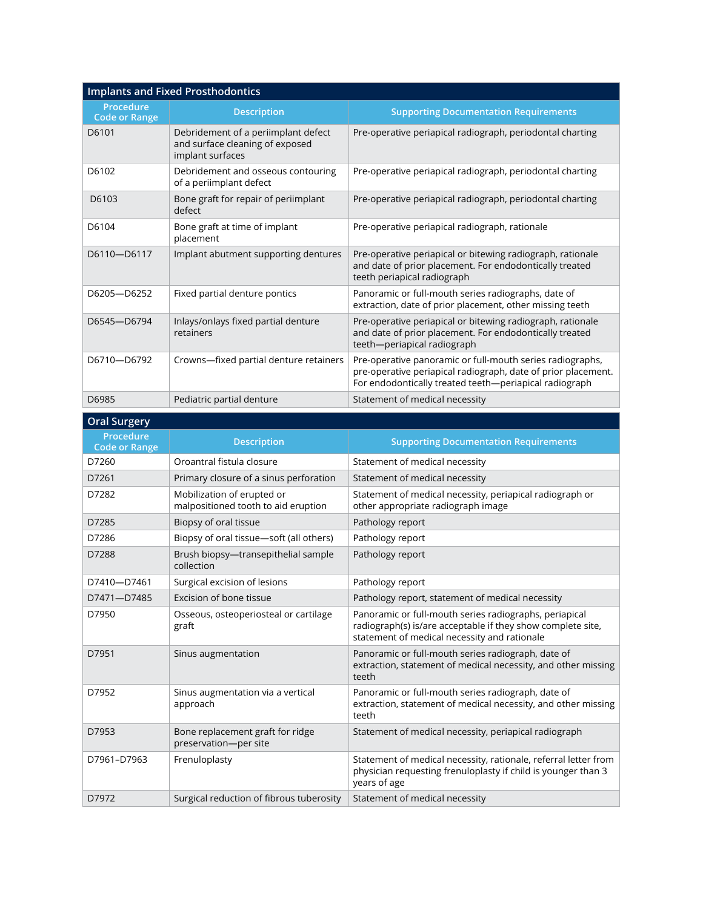| <b>Implants and Fixed Prosthodontics</b> |                                                                                            |                                                                                                                                                                                      |  |  |
|------------------------------------------|--------------------------------------------------------------------------------------------|--------------------------------------------------------------------------------------------------------------------------------------------------------------------------------------|--|--|
| Procedure<br><b>Code or Range</b>        | <b>Description</b>                                                                         | <b>Supporting Documentation Requirements</b>                                                                                                                                         |  |  |
| D6101                                    | Debridement of a periimplant defect<br>and surface cleaning of exposed<br>implant surfaces | Pre-operative periapical radiograph, periodontal charting                                                                                                                            |  |  |
| D6102                                    | Debridement and osseous contouring<br>of a periimplant defect                              | Pre-operative periapical radiograph, periodontal charting                                                                                                                            |  |  |
| D6103                                    | Bone graft for repair of periimplant<br>defect                                             | Pre-operative periapical radiograph, periodontal charting                                                                                                                            |  |  |
| D6104                                    | Bone graft at time of implant<br>placement                                                 | Pre-operative periapical radiograph, rationale                                                                                                                                       |  |  |
| D6110-D6117                              | Implant abutment supporting dentures                                                       | Pre-operative periapical or bitewing radiograph, rationale<br>and date of prior placement. For endodontically treated<br>teeth periapical radiograph                                 |  |  |
| D6205-D6252                              | Fixed partial denture pontics                                                              | Panoramic or full-mouth series radiographs, date of<br>extraction, date of prior placement, other missing teeth                                                                      |  |  |
| D6545-D6794                              | Inlays/onlays fixed partial denture<br>retainers                                           | Pre-operative periapical or bitewing radiograph, rationale<br>and date of prior placement. For endodontically treated<br>teeth-periapical radiograph                                 |  |  |
| D6710-D6792                              | Crowns-fixed partial denture retainers                                                     | Pre-operative panoramic or full-mouth series radiographs,<br>pre-operative periapical radiograph, date of prior placement.<br>For endodontically treated teeth-periapical radiograph |  |  |
| D6985                                    | Pediatric partial denture                                                                  | Statement of medical necessity                                                                                                                                                       |  |  |

| <b>Oral Surgery</b>                      |                                                                   |                                                                                                                                                                       |
|------------------------------------------|-------------------------------------------------------------------|-----------------------------------------------------------------------------------------------------------------------------------------------------------------------|
| <b>Procedure</b><br><b>Code or Range</b> | <b>Description</b>                                                | <b>Supporting Documentation Requirements</b>                                                                                                                          |
| D7260                                    | Oroantral fistula closure                                         | Statement of medical necessity                                                                                                                                        |
| D7261                                    | Primary closure of a sinus perforation                            | Statement of medical necessity                                                                                                                                        |
| D7282                                    | Mobilization of erupted or<br>malpositioned tooth to aid eruption | Statement of medical necessity, periapical radiograph or<br>other appropriate radiograph image                                                                        |
| D7285                                    | Biopsy of oral tissue                                             | Pathology report                                                                                                                                                      |
| D7286                                    | Biopsy of oral tissue-soft (all others)                           | Pathology report                                                                                                                                                      |
| D7288                                    | Brush biopsy-transepithelial sample<br>collection                 | Pathology report                                                                                                                                                      |
| D7410-D7461                              | Surgical excision of lesions                                      | Pathology report                                                                                                                                                      |
| D7471-D7485                              | Excision of bone tissue                                           | Pathology report, statement of medical necessity                                                                                                                      |
| D7950                                    | Osseous, osteoperiosteal or cartilage<br>graft                    | Panoramic or full-mouth series radiographs, periapical<br>radiograph(s) is/are acceptable if they show complete site,<br>statement of medical necessity and rationale |
| D7951                                    | Sinus augmentation                                                | Panoramic or full-mouth series radiograph, date of<br>extraction, statement of medical necessity, and other missing<br>teeth                                          |
| D7952                                    | Sinus augmentation via a vertical<br>approach                     | Panoramic or full-mouth series radiograph, date of<br>extraction, statement of medical necessity, and other missing<br>teeth                                          |
| D7953                                    | Bone replacement graft for ridge<br>preservation-per site         | Statement of medical necessity, periapical radiograph                                                                                                                 |
| D7961-D7963                              | Frenuloplasty                                                     | Statement of medical necessity, rationale, referral letter from<br>physician requesting frenuloplasty if child is younger than 3<br>years of age                      |
| D7972                                    | Surgical reduction of fibrous tuberosity                          | Statement of medical necessity                                                                                                                                        |